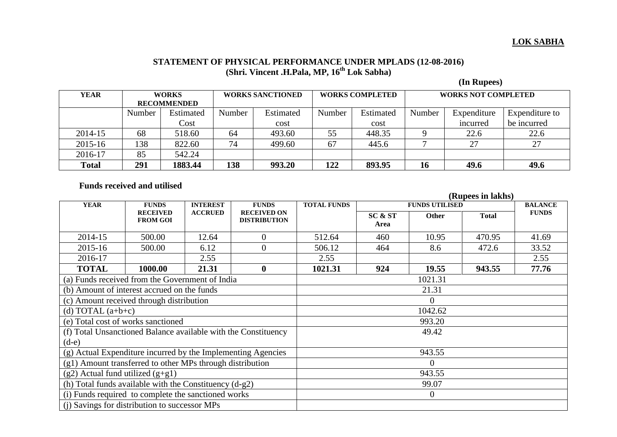## **LOK SABHA**

## **STATEMENT OF PHYSICAL PERFORMANCE UNDER MPLADS (12-08-2016) (Shri. Vincent .H.Pala, MP, 16 th Lok Sabha)**

|  |  |  | (In Rupees) |
|--|--|--|-------------|
|--|--|--|-------------|

| <b>YEAR</b>  | <b>WORKS</b>       |           | <b>WORKS SANCTIONED</b> |           | <b>WORKS COMPLETED</b> |           | <b>WORKS NOT COMPLETED</b> |                |                |
|--------------|--------------------|-----------|-------------------------|-----------|------------------------|-----------|----------------------------|----------------|----------------|
|              | <b>RECOMMENDED</b> |           |                         |           |                        |           |                            |                |                |
|              | Number             | Estimated | Number                  | Estimated | Number                 | Estimated | Number                     | Expenditure    | Expenditure to |
|              |                    | Cost      |                         | cost      |                        | cost      |                            | <i>ncurred</i> | be incurred    |
| 2014-15      | 68                 | 518.60    | 64                      | 493.60    | 55                     | 448.35    |                            | 22.6           | 22.6           |
| 2015-16      | 138                | 822.60    | 74                      | 499.60    | 67                     | 445.6     |                            | 27             | 27             |
| 2016-17      | 85                 | 542.24    |                         |           |                        |           |                            |                |                |
| <b>Total</b> | 291                | 1883.44   | 138                     | 993.20    | 122                    | 893.95    | 16                         | 49.6           | 49.6           |

 **Funds received and utilised** 

|                                                                |                                               |                 |                                                           |                    |                       |       | (Rupees in lakhs) |                |  |
|----------------------------------------------------------------|-----------------------------------------------|-----------------|-----------------------------------------------------------|--------------------|-----------------------|-------|-------------------|----------------|--|
| <b>YEAR</b>                                                    | <b>FUNDS</b>                                  | <b>INTEREST</b> | <b>FUNDS</b><br><b>RECEIVED ON</b><br><b>DISTRIBUTION</b> | <b>TOTAL FUNDS</b> | <b>FUNDS UTILISED</b> |       |                   | <b>BALANCE</b> |  |
|                                                                | <b>RECEIVED</b><br><b>FROM GOI</b>            | <b>ACCRUED</b>  |                                                           |                    | SC & ST<br>Area       | Other | <b>Total</b>      | <b>FUNDS</b>   |  |
| 2014-15                                                        | 500.00                                        | 12.64           | $\theta$                                                  | 512.64             | 460                   | 10.95 | 470.95            | 41.69          |  |
| 2015-16                                                        | 500.00                                        | 6.12            | $\boldsymbol{0}$                                          | 506.12             | 464                   | 8.6   | 472.6             | 33.52          |  |
| 2016-17                                                        |                                               | 2.55            |                                                           | 2.55               |                       |       |                   | 2.55           |  |
| <b>TOTAL</b>                                                   | 1000.00                                       | 21.31           | $\bf{0}$                                                  | 1021.31            | 924                   | 19.55 | 943.55            | 77.76          |  |
| (a) Funds received from the Government of India                |                                               |                 |                                                           | 1021.31            |                       |       |                   |                |  |
| (b) Amount of interest accrued on the funds                    |                                               |                 |                                                           | 21.31              |                       |       |                   |                |  |
| (c) Amount received through distribution                       |                                               |                 |                                                           | $\Omega$           |                       |       |                   |                |  |
| (d) TOTAL $(a+b+c)$                                            |                                               |                 |                                                           | 1042.62            |                       |       |                   |                |  |
| (e) Total cost of works sanctioned                             |                                               |                 |                                                           | 993.20             |                       |       |                   |                |  |
| (f) Total Unsanctioned Balance available with the Constituency |                                               |                 |                                                           | 49.42              |                       |       |                   |                |  |
| $(d-e)$                                                        |                                               |                 |                                                           |                    |                       |       |                   |                |  |
| (g) Actual Expenditure incurred by the Implementing Agencies   |                                               |                 |                                                           | 943.55             |                       |       |                   |                |  |
| (g1) Amount transferred to other MPs through distribution      |                                               |                 |                                                           | $\theta$           |                       |       |                   |                |  |
| $(g2)$ Actual fund utilized $(g+g1)$                           |                                               |                 |                                                           | 943.55             |                       |       |                   |                |  |
| (h) Total funds available with the Constituency $(d-g2)$       |                                               |                 |                                                           | 99.07              |                       |       |                   |                |  |
| (i) Funds required to complete the sanctioned works            |                                               |                 |                                                           | $\boldsymbol{0}$   |                       |       |                   |                |  |
|                                                                | (i) Savings for distribution to successor MPs |                 |                                                           |                    |                       |       |                   |                |  |